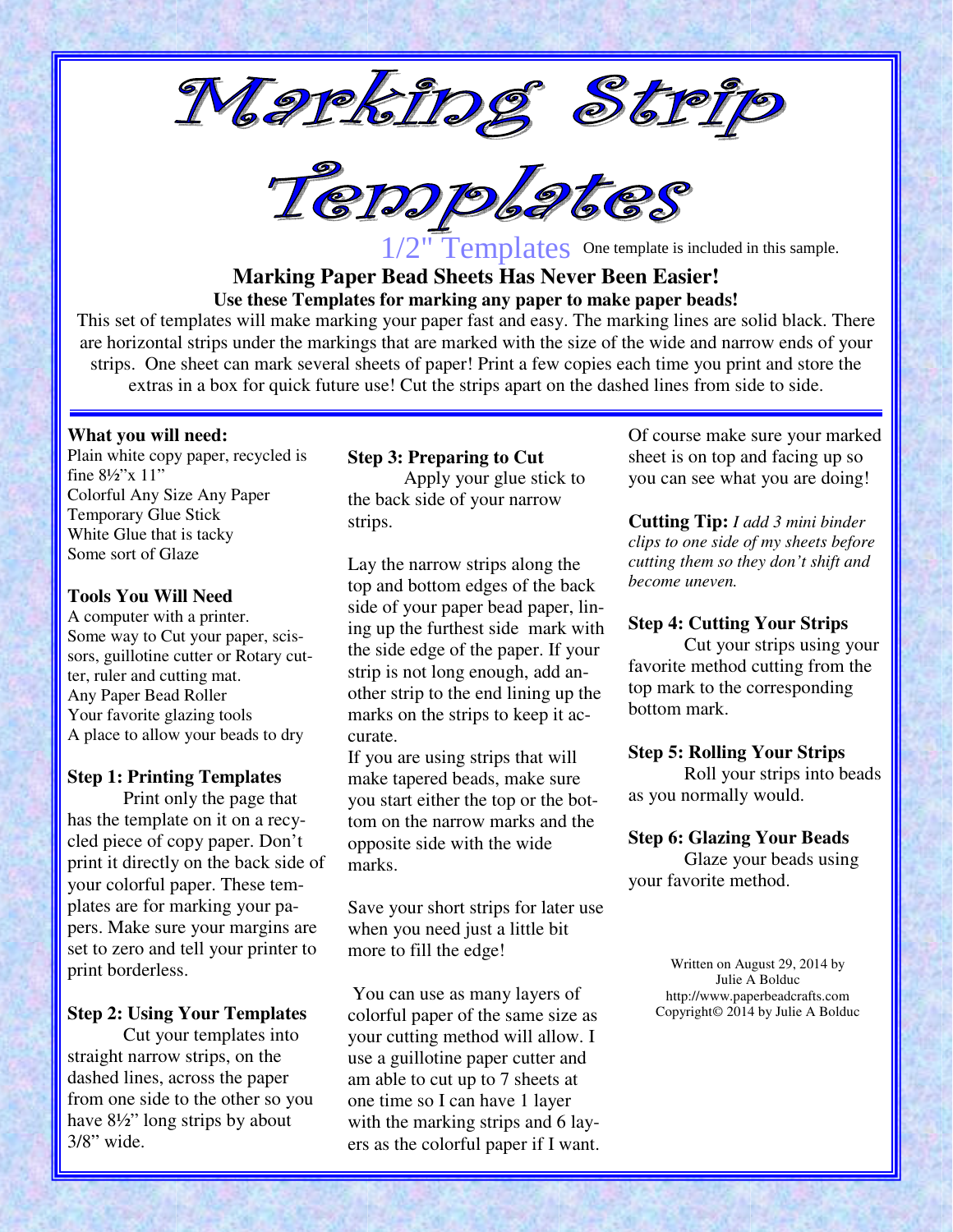



1/2" Templates One template is included in this sample.

# **Marking Paper Bead Sheets Has Never Been Easier! Use these Templates for marking any paper to make paper beads!**

This set of templates will make marking your paper fast and easy. The marking lines are solid black. There are horizontal strips under the markings that are marked with the size of the wide and narrow ends of your strips. One sheet can mark several sheets of paper! Print a few copies each time you print and store the extras in a box for quick future use! Cut the strips apart on the dashed lines from side to side.

#### **What you will need:**

Plain white copy paper, recycled is fine 8½"x 11" Colorful Any Size Any Paper Temporary Glue Stick White Glue that is tacky Some sort of Glaze

#### **Tools You Will Need**

A computer with a printer. Some way to Cut your paper, scissors, guillotine cutter or Rotary cutter, ruler and cutting mat. Any Paper Bead Roller Your favorite glazing tools A place to allow your beads to dry

### **Step 1: Printing Templates**

Print only the page that has the template on it on a recycled piece of copy paper. Don't print it directly on the back side of your colorful paper. These templates are for marking your papers. Make sure your margins are set to zero and tell your printer to print borderless.

# **Step 2: Using Your Templates**

Cut your templates into straight narrow strips, on the dashed lines, across the paper from one side to the other so you have 8½" long strips by about 3/8" wide.

# **Step 3: Preparing to Cut**

Apply your glue stick to the back side of your narrow strips.

Lay the narrow strips along the top and bottom edges of the back side of your paper bead paper, lining up the furthest side mark with the side edge of the paper. If your strip is not long enough, add another strip to the end lining up the marks on the strips to keep it accurate.

If you are using strips that will make tapered beads, make sure you start either the top or the bottom on the narrow marks and the opposite side with the wide marks.

Save your short strips for later use when you need just a little bit more to fill the edge!

 You can use as many layers of colorful paper of the same size as your cutting method will allow. I use a guillotine paper cutter and am able to cut up to 7 sheets at one time so I can have 1 layer with the marking strips and 6 layers as the colorful paper if I want. Of course make sure your marked sheet is on top and facing up so you can see what you are doing!

**Cutting Tip:** *I add 3 mini binder clips to one side of my sheets before cutting them so they don't shift and become uneven.*

### **Step 4: Cutting Your Strips**

Cut your strips using your favorite method cutting from the top mark to the corresponding bottom mark.

### **Step 5: Rolling Your Strips**

 Roll your strips into beads as you normally would.

### **Step 6: Glazing Your Beads**

Glaze your beads using your favorite method.

> Written on August 29, 2014 by Julie A Bolduc http://www.paperbeadcrafts.com Copyright© 2014 by Julie A Bolduc